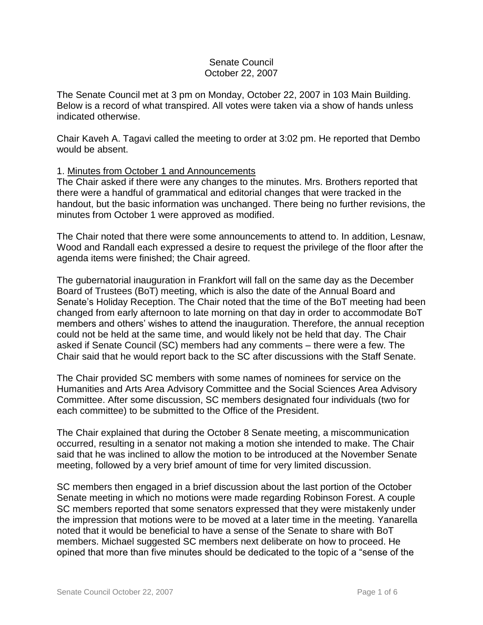## Senate Council October 22, 2007

The Senate Council met at 3 pm on Monday, October 22, 2007 in 103 Main Building. Below is a record of what transpired. All votes were taken via a show of hands unless indicated otherwise.

Chair Kaveh A. Tagavi called the meeting to order at 3:02 pm. He reported that Dembo would be absent.

## 1. Minutes from October 1 and Announcements

The Chair asked if there were any changes to the minutes. Mrs. Brothers reported that there were a handful of grammatical and editorial changes that were tracked in the handout, but the basic information was unchanged. There being no further revisions, the minutes from October 1 were approved as modified.

The Chair noted that there were some announcements to attend to. In addition, Lesnaw, Wood and Randall each expressed a desire to request the privilege of the floor after the agenda items were finished; the Chair agreed.

The gubernatorial inauguration in Frankfort will fall on the same day as the December Board of Trustees (BoT) meeting, which is also the date of the Annual Board and Senate's Holiday Reception. The Chair noted that the time of the BoT meeting had been changed from early afternoon to late morning on that day in order to accommodate BoT members and others' wishes to attend the inauguration. Therefore, the annual reception could not be held at the same time, and would likely not be held that day. The Chair asked if Senate Council (SC) members had any comments – there were a few. The Chair said that he would report back to the SC after discussions with the Staff Senate.

The Chair provided SC members with some names of nominees for service on the Humanities and Arts Area Advisory Committee and the Social Sciences Area Advisory Committee. After some discussion, SC members designated four individuals (two for each committee) to be submitted to the Office of the President.

The Chair explained that during the October 8 Senate meeting, a miscommunication occurred, resulting in a senator not making a motion she intended to make. The Chair said that he was inclined to allow the motion to be introduced at the November Senate meeting, followed by a very brief amount of time for very limited discussion.

SC members then engaged in a brief discussion about the last portion of the October Senate meeting in which no motions were made regarding Robinson Forest. A couple SC members reported that some senators expressed that they were mistakenly under the impression that motions were to be moved at a later time in the meeting. Yanarella noted that it would be beneficial to have a sense of the Senate to share with BoT members. Michael suggested SC members next deliberate on how to proceed. He opined that more than five minutes should be dedicated to the topic of a "sense of the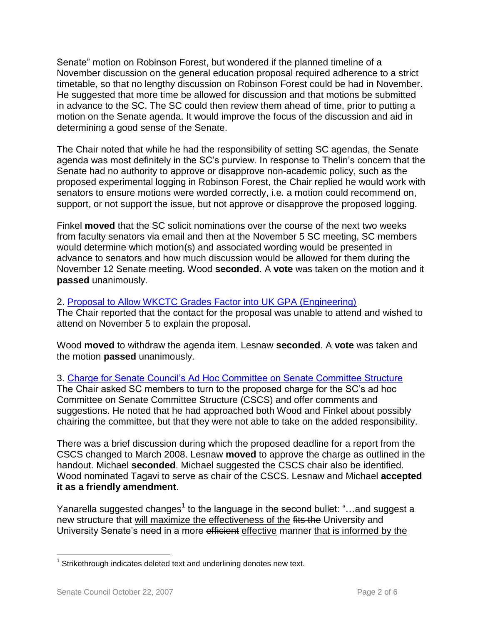Senate" motion on Robinson Forest, but wondered if the planned timeline of a November discussion on the general education proposal required adherence to a strict timetable, so that no lengthy discussion on Robinson Forest could be had in November. He suggested that more time be allowed for discussion and that motions be submitted in advance to the SC. The SC could then review them ahead of time, prior to putting a motion on the Senate agenda. It would improve the focus of the discussion and aid in determining a good sense of the Senate.

The Chair noted that while he had the responsibility of setting SC agendas, the Senate agenda was most definitely in the SC's purview. In response to Thelin's concern that the Senate had no authority to approve or disapprove non-academic policy, such as the proposed experimental logging in Robinson Forest, the Chair replied he would work with senators to ensure motions were worded correctly, i.e. a motion could recommend on, support, or not support the issue, but not approve or disapprove the proposed logging.

Finkel **moved** that the SC solicit nominations over the course of the next two weeks from faculty senators via email and then at the November 5 SC meeting, SC members would determine which motion(s) and associated wording would be presented in advance to senators and how much discussion would be allowed for them during the November 12 Senate meeting. Wood **seconded**. A **vote** was taken on the motion and it **passed** unanimously.

## 2. [Proposal to Allow WKCTC Grades Factor into UK GPA \(Engineering\)](http://www.uky.edu/USC/New/files/20071022/Req%20to%20Modify%20New%20KCTCS%20Transfer%20Policy_Complete.pdf)

The Chair reported that the contact for the proposal was unable to attend and wished to attend on November 5 to explain the proposal.

Wood **moved** to withdraw the agenda item. Lesnaw **seconded**. A **vote** was taken and the motion **passed** unanimously.

3. [Charge for Senate Council's Ad Hoc Committee on Senate Committee Structure](http://www.uky.edu/USC/New/files/20071022/CSCS_Complete.pdf) The Chair asked SC members to turn to the proposed charge for the SC's ad hoc Committee on Senate Committee Structure (CSCS) and offer comments and suggestions. He noted that he had approached both Wood and Finkel about possibly chairing the committee, but that they were not able to take on the added responsibility.

There was a brief discussion during which the proposed deadline for a report from the CSCS changed to March 2008. Lesnaw **moved** to approve the charge as outlined in the handout. Michael **seconded**. Michael suggested the CSCS chair also be identified. Wood nominated Tagavi to serve as chair of the CSCS. Lesnaw and Michael **accepted it as a friendly amendment**.

Yanarella suggested changes<sup>1</sup> to the language in the second bullet: "...and suggest a new structure that will maximize the effectiveness of the fits the University and University Senate's need in a more efficient effective manner that is informed by the

 $\overline{a}$  $1$  Strikethrough indicates deleted text and underlining denotes new text.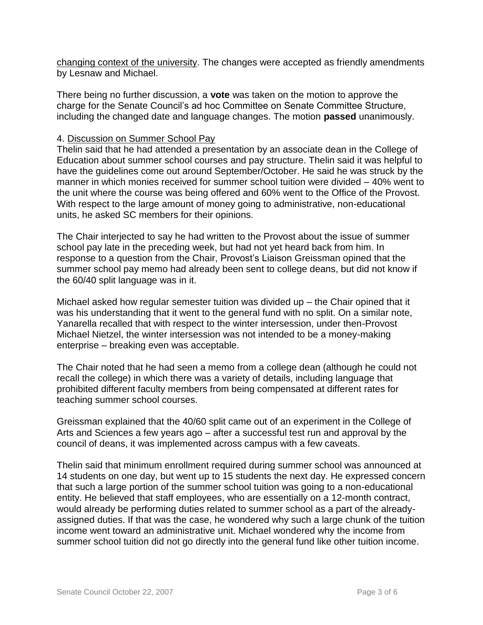changing context of the university. The changes were accepted as friendly amendments by Lesnaw and Michael.

There being no further discussion, a **vote** was taken on the motion to approve the charge for the Senate Council's ad hoc Committee on Senate Committee Structure, including the changed date and language changes. The motion **passed** unanimously.

## 4. Discussion on Summer School Pay

Thelin said that he had attended a presentation by an associate dean in the College of Education about summer school courses and pay structure. Thelin said it was helpful to have the guidelines come out around September/October. He said he was struck by the manner in which monies received for summer school tuition were divided – 40% went to the unit where the course was being offered and 60% went to the Office of the Provost. With respect to the large amount of money going to administrative, non-educational units, he asked SC members for their opinions.

The Chair interjected to say he had written to the Provost about the issue of summer school pay late in the preceding week, but had not yet heard back from him. In response to a question from the Chair, Provost's Liaison Greissman opined that the summer school pay memo had already been sent to college deans, but did not know if the 60/40 split language was in it.

Michael asked how regular semester tuition was divided up – the Chair opined that it was his understanding that it went to the general fund with no split. On a similar note, Yanarella recalled that with respect to the winter intersession, under then-Provost Michael Nietzel, the winter intersession was not intended to be a money-making enterprise – breaking even was acceptable.

The Chair noted that he had seen a memo from a college dean (although he could not recall the college) in which there was a variety of details, including language that prohibited different faculty members from being compensated at different rates for teaching summer school courses.

Greissman explained that the 40/60 split came out of an experiment in the College of Arts and Sciences a few years ago – after a successful test run and approval by the council of deans, it was implemented across campus with a few caveats.

Thelin said that minimum enrollment required during summer school was announced at 14 students on one day, but went up to 15 students the next day. He expressed concern that such a large portion of the summer school tuition was going to a non-educational entity. He believed that staff employees, who are essentially on a 12-month contract, would already be performing duties related to summer school as a part of the alreadyassigned duties. If that was the case, he wondered why such a large chunk of the tuition income went toward an administrative unit. Michael wondered why the income from summer school tuition did not go directly into the general fund like other tuition income.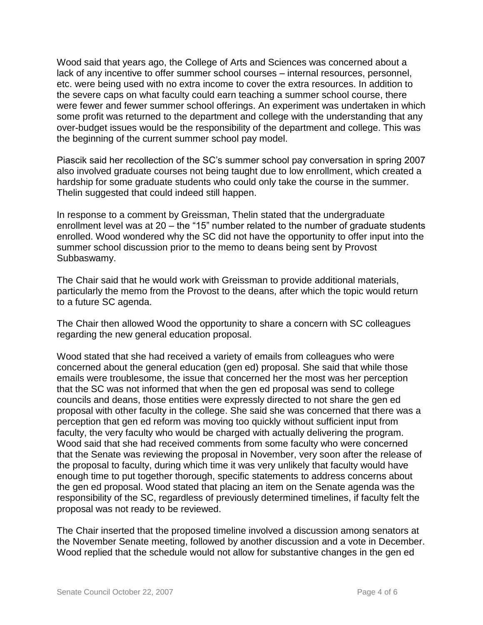Wood said that years ago, the College of Arts and Sciences was concerned about a lack of any incentive to offer summer school courses – internal resources, personnel, etc. were being used with no extra income to cover the extra resources. In addition to the severe caps on what faculty could earn teaching a summer school course, there were fewer and fewer summer school offerings. An experiment was undertaken in which some profit was returned to the department and college with the understanding that any over-budget issues would be the responsibility of the department and college. This was the beginning of the current summer school pay model.

Piascik said her recollection of the SC's summer school pay conversation in spring 2007 also involved graduate courses not being taught due to low enrollment, which created a hardship for some graduate students who could only take the course in the summer. Thelin suggested that could indeed still happen.

In response to a comment by Greissman, Thelin stated that the undergraduate enrollment level was at 20 – the "15" number related to the number of graduate students enrolled. Wood wondered why the SC did not have the opportunity to offer input into the summer school discussion prior to the memo to deans being sent by Provost Subbaswamy.

The Chair said that he would work with Greissman to provide additional materials, particularly the memo from the Provost to the deans, after which the topic would return to a future SC agenda.

The Chair then allowed Wood the opportunity to share a concern with SC colleagues regarding the new general education proposal.

Wood stated that she had received a variety of emails from colleagues who were concerned about the general education (gen ed) proposal. She said that while those emails were troublesome, the issue that concerned her the most was her perception that the SC was not informed that when the gen ed proposal was send to college councils and deans, those entities were expressly directed to not share the gen ed proposal with other faculty in the college. She said she was concerned that there was a perception that gen ed reform was moving too quickly without sufficient input from faculty, the very faculty who would be charged with actually delivering the program. Wood said that she had received comments from some faculty who were concerned that the Senate was reviewing the proposal in November, very soon after the release of the proposal to faculty, during which time it was very unlikely that faculty would have enough time to put together thorough, specific statements to address concerns about the gen ed proposal. Wood stated that placing an item on the Senate agenda was the responsibility of the SC, regardless of previously determined timelines, if faculty felt the proposal was not ready to be reviewed.

The Chair inserted that the proposed timeline involved a discussion among senators at the November Senate meeting, followed by another discussion and a vote in December. Wood replied that the schedule would not allow for substantive changes in the gen ed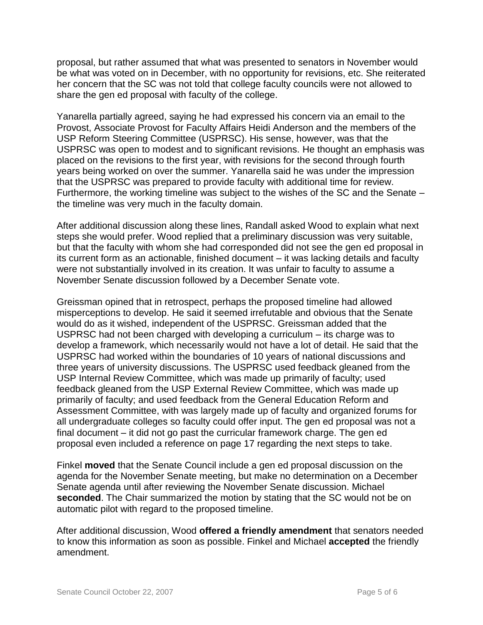proposal, but rather assumed that what was presented to senators in November would be what was voted on in December, with no opportunity for revisions, etc. She reiterated her concern that the SC was not told that college faculty councils were not allowed to share the gen ed proposal with faculty of the college.

Yanarella partially agreed, saying he had expressed his concern via an email to the Provost, Associate Provost for Faculty Affairs Heidi Anderson and the members of the USP Reform Steering Committee (USPRSC). His sense, however, was that the USPRSC was open to modest and to significant revisions. He thought an emphasis was placed on the revisions to the first year, with revisions for the second through fourth years being worked on over the summer. Yanarella said he was under the impression that the USPRSC was prepared to provide faculty with additional time for review. Furthermore, the working timeline was subject to the wishes of the SC and the Senate – the timeline was very much in the faculty domain.

After additional discussion along these lines, Randall asked Wood to explain what next steps she would prefer. Wood replied that a preliminary discussion was very suitable, but that the faculty with whom she had corresponded did not see the gen ed proposal in its current form as an actionable, finished document – it was lacking details and faculty were not substantially involved in its creation. It was unfair to faculty to assume a November Senate discussion followed by a December Senate vote.

Greissman opined that in retrospect, perhaps the proposed timeline had allowed misperceptions to develop. He said it seemed irrefutable and obvious that the Senate would do as it wished, independent of the USPRSC. Greissman added that the USPRSC had not been charged with developing a curriculum – its charge was to develop a framework, which necessarily would not have a lot of detail. He said that the USPRSC had worked within the boundaries of 10 years of national discussions and three years of university discussions. The USPRSC used feedback gleaned from the USP Internal Review Committee, which was made up primarily of faculty; used feedback gleaned from the USP External Review Committee, which was made up primarily of faculty; and used feedback from the General Education Reform and Assessment Committee, with was largely made up of faculty and organized forums for all undergraduate colleges so faculty could offer input. The gen ed proposal was not a final document – it did not go past the curricular framework charge. The gen ed proposal even included a reference on page 17 regarding the next steps to take.

Finkel **moved** that the Senate Council include a gen ed proposal discussion on the agenda for the November Senate meeting, but make no determination on a December Senate agenda until after reviewing the November Senate discussion. Michael **seconded**. The Chair summarized the motion by stating that the SC would not be on automatic pilot with regard to the proposed timeline.

After additional discussion, Wood **offered a friendly amendment** that senators needed to know this information as soon as possible. Finkel and Michael **accepted** the friendly amendment.